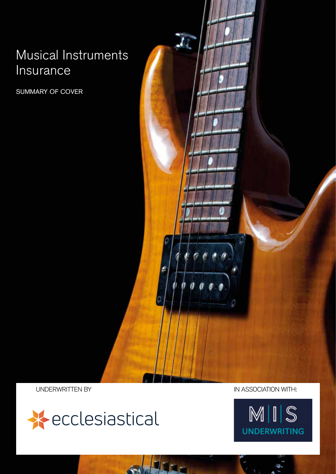# Musical Instruments Insurance

SUMMARY OF COVER

ū,



UNDERWRITTEN BY IN ASSOCIATION WITH:

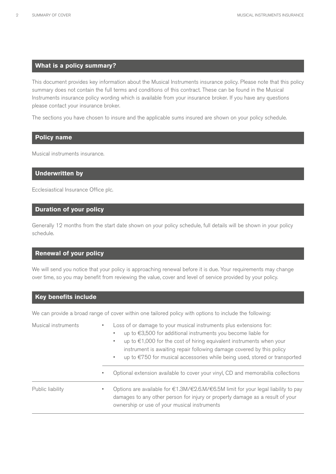#### **What is a policy summary?**

This document provides key information about the Musical Instruments insurance policy. Please note that this policy summary does not contain the full terms and conditions of this contract. These can be found in the Musical Instruments insurance policy wording which is available from your insurance broker. If you have any questions please contact your insurance broker.

The sections you have chosen to insure and the applicable sums insured are shown on your policy schedule.

#### **Policy name**

Musical instruments insurance.

#### **Underwritten by**

Ecclesiastical Insurance Office plc.

#### **Duration of your policy**

Generally 12 months from the start date shown on your policy schedule, full details will be shown in your policy schedule.

#### **Renewal of your policy**

We will send you notice that your policy is approaching renewal before it is due. Your requirements may change over time, so you may benefit from reviewing the value, cover and level of service provided by your policy.

#### **Key benefits include**

We can provide a broad range of cover within one tailored policy with options to include the following:

| Musical instruments | ٠            | Loss of or damage to your musical instruments plus extensions for:<br>up to €3,500 for additional instruments you become liable for<br>up to $\epsilon$ 1,000 for the cost of hiring equivalent instruments when your<br>$\blacksquare$<br>instrument is awaiting repair following damage covered by this policy<br>up to €750 for musical accessories while being used, stored or transported<br>٠ |
|---------------------|--------------|-----------------------------------------------------------------------------------------------------------------------------------------------------------------------------------------------------------------------------------------------------------------------------------------------------------------------------------------------------------------------------------------------------|
|                     | $\mathbf{u}$ | Optional extension available to cover your vinyl, CD and memorabilia collections                                                                                                                                                                                                                                                                                                                    |
| Public liability    |              | Options are available for $\epsilon$ 1.3M/ $\epsilon$ 2.6.M/ $\epsilon$ 6.5M limit for your legal liability to pay<br>damages to any other person for injury or property damage as a result of your<br>ownership or use of your musical instruments                                                                                                                                                 |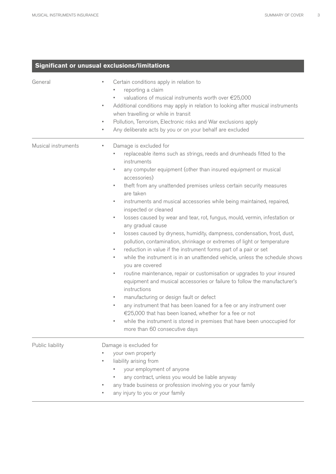### **Significant or unusual exclusions/limitations**

| General             | Certain conditions apply in relation to<br>×<br>reporting a claim<br>valuations of musical instruments worth over €25,000<br>Additional conditions may apply in relation to looking after musical instruments<br>٠<br>when travelling or while in transit<br>Pollution, Terrorism, Electronic risks and War exclusions apply<br>٠<br>Any deliberate acts by you or on your behalf are excluded<br>٠                                                                                                                                                                                                                                                                                                                                                                                                                                                                                                                                                                                                                                                                                                                                                                                                                                                                                                                                                  |
|---------------------|------------------------------------------------------------------------------------------------------------------------------------------------------------------------------------------------------------------------------------------------------------------------------------------------------------------------------------------------------------------------------------------------------------------------------------------------------------------------------------------------------------------------------------------------------------------------------------------------------------------------------------------------------------------------------------------------------------------------------------------------------------------------------------------------------------------------------------------------------------------------------------------------------------------------------------------------------------------------------------------------------------------------------------------------------------------------------------------------------------------------------------------------------------------------------------------------------------------------------------------------------------------------------------------------------------------------------------------------------|
| Musical instruments | Damage is excluded for<br>Е<br>replaceable items such as strings, reeds and drumheads fitted to the<br>instruments<br>any computer equipment (other than insured equipment or musical<br>٠<br>accessories)<br>theft from any unattended premises unless certain security measures<br>٠<br>are taken<br>instruments and musical accessories while being maintained, repaired,<br>٠<br>inspected or cleaned<br>losses caused by wear and tear, rot, fungus, mould, vermin, infestation or<br>٠<br>any gradual cause<br>losses caused by dryness, humidity, dampness, condensation, frost, dust,<br>٠<br>pollution, contamination, shrinkage or extremes of light or temperature<br>reduction in value if the instrument forms part of a pair or set<br>٠<br>while the instrument is in an unattended vehicle, unless the schedule shows<br>٠<br>you are covered<br>routine maintenance, repair or customisation or upgrades to your insured<br>٠<br>equipment and musical accessories or failure to follow the manufacturer's<br>instructions<br>manufacturing or design fault or defect<br>٠<br>any instrument that has been loaned for a fee or any instrument over<br>٠<br>€25,000 that has been loaned, whether for a fee or not<br>while the instrument is stored in premises that have been unoccupied for<br>Е<br>more than 60 consecutive days |
| Public liability    | Damage is excluded for<br>your own property<br>liability arising from<br>your employment of anyone<br>any contract, unless you would be liable anyway<br>any trade business or profession involving you or your family<br>any injury to you or your family                                                                                                                                                                                                                                                                                                                                                                                                                                                                                                                                                                                                                                                                                                                                                                                                                                                                                                                                                                                                                                                                                           |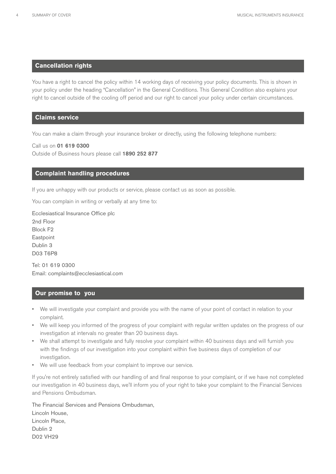#### **Cancellation rights**

You have a right to cancel the policy within 14 working days of receiving your policy documents. This is shown in your policy under the heading "Cancellation" in the General Conditions. This General Condition also explains your right to cancel outside of the cooling off period and our right to cancel your policy under certain circumstances.

#### **Claims service**

You can make a claim through your insurance broker or directly, using the following telephone numbers:

Call us on 01 619 0300 Outside of Business hours please call 1890 252 877

#### **Complaint handling procedures**

If you are unhappy with our products or service, please contact us as soon as possible.

You can complain in writing or verbally at any time to:

Ecclesiastical Insurance Office plc 2nd Floor Block F2 **Eastpoint** Dublin 3 D03 T6P8

Tel: 01 619 0300 Email: complaints@ecclesiastical.com

#### **Our promise to you**

- We will investigate your complaint and provide you with the name of your point of contact in relation to your complaint.
- We will keep you informed of the progress of your complaint with regular written updates on the progress of our investigation at intervals no greater than 20 business days.
- We shall attempt to investigate and fully resolve your complaint within 40 business days and will furnish you with the findings of our investigation into your complaint within five business days of completion of our investigation.
- We will use feedback from your complaint to improve our service.

If you're not entirely satisfied with our handling of and final response to your complaint, or if we have not completed our investigation in 40 business days, we'll inform you of your right to take your complaint to the Financial Services and Pensions Ombudsman.

The Financial Services and Pensions Ombudsman, Lincoln House, Lincoln Place, Dublin 2 D02 VH29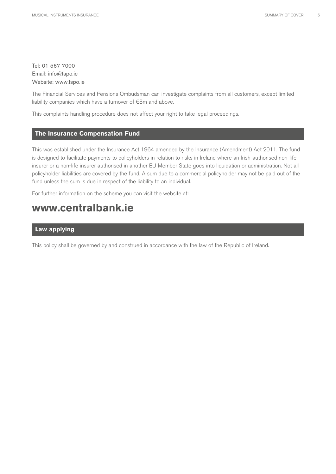Tel: 01 567 7000 Email: info@fspo.ie Website: www.fspo.ie

The Financial Services and Pensions Ombudsman can investigate complaints from all customers, except limited liability companies which have a turnover of €3m and above.

This complaints handling procedure does not affect your right to take legal proceedings.

#### **The Insurance Compensation Fund**

This was established under the Insurance Act 1964 amended by the Insurance (Amendment) Act 2011. The fund is designed to facilitate payments to policyholders in relation to risks in Ireland where an Irish-authorised non-life insurer or a non-life insurer authorised in another EU Member State goes into liquidation or administration. Not all policyholder liabilities are covered by the fund. A sum due to a commercial policyholder may not be paid out of the fund unless the sum is due in respect of the liability to an individual.

For further information on the scheme you can visit the website at:

## **www.centralbank.ie**

#### **Law applying**

This policy shall be governed by and construed in accordance with the law of the Republic of Ireland.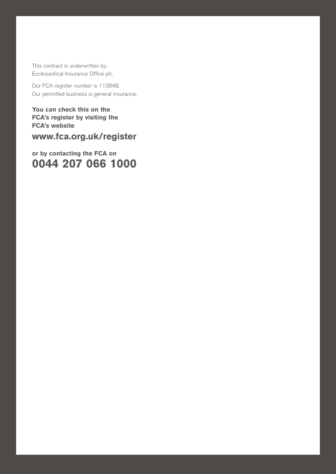This contract is underwritten by: Ecclesiastical Insurance Office plc.

Our FCA register number is 113848. Our permitted business is general insurance.

MUSICAL INSURANCE SUMMARY OF COVER  $\mathcal{M}(\mathcal{M})$ 

**You can check this on the FCA's register by visiting the FCA's website**

**www.fca.org.uk/register** 

**or by contacting the FCA on 0044 207 066 1000**